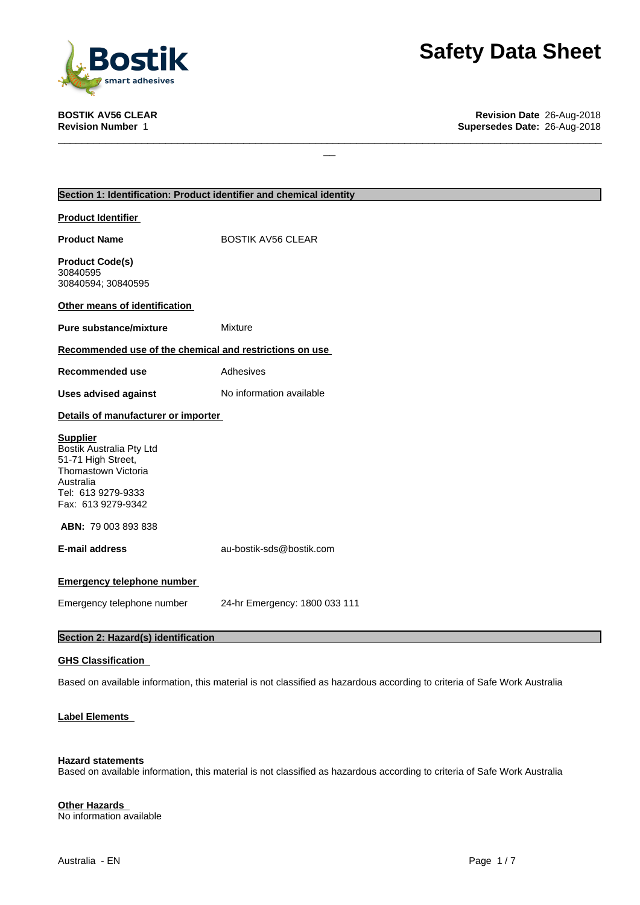

# **Safety Data Sheet**<br>
Revision Date 26-Aug-2018<br>
Supersedes Date: 26-Aug-2018

|                                                                                                                                                   | Section 1: Identification: Product identifier and chemical identity |
|---------------------------------------------------------------------------------------------------------------------------------------------------|---------------------------------------------------------------------|
| <b>Product Identifier</b>                                                                                                                         |                                                                     |
| <b>Product Name</b>                                                                                                                               | <b>BOSTIK AV56 CLEAR</b>                                            |
| <b>Product Code(s)</b><br>30840595<br>30840594; 30840595                                                                                          |                                                                     |
| Other means of identification                                                                                                                     |                                                                     |
| <b>Pure substance/mixture</b>                                                                                                                     | Mixture                                                             |
| Recommended use of the chemical and restrictions on use                                                                                           |                                                                     |
| <b>Recommended use</b>                                                                                                                            | Adhesives                                                           |
| <b>Uses advised against</b>                                                                                                                       | No information available                                            |
| Details of manufacturer or importer                                                                                                               |                                                                     |
| <b>Supplier</b><br>Bostik Australia Pty Ltd<br>51-71 High Street,<br>Thomastown Victoria<br>Australia<br>Tel: 613 9279-9333<br>Fax: 613 9279-9342 |                                                                     |
| ABN: 79 003 893 838                                                                                                                               |                                                                     |
| <b>E-mail address</b>                                                                                                                             | au-bostik-sds@bostik.com                                            |
| <b>Emergency telephone number</b>                                                                                                                 |                                                                     |
| Emergency telephone number                                                                                                                        | 24-hr Emergency: 1800 033 111                                       |
| Section 2: Hazard(s) identification                                                                                                               |                                                                     |

 $\Box$ 

#### **GHS Classification**

Based on available information, this material is not classified as hazardous according to criteria of Safe Work Australia

#### **Label Elements**

#### **Hazard statements**

Based on available information, this material is not classified as hazardous according to criteria of Safe Work Australia

#### **Other Hazards**

No information available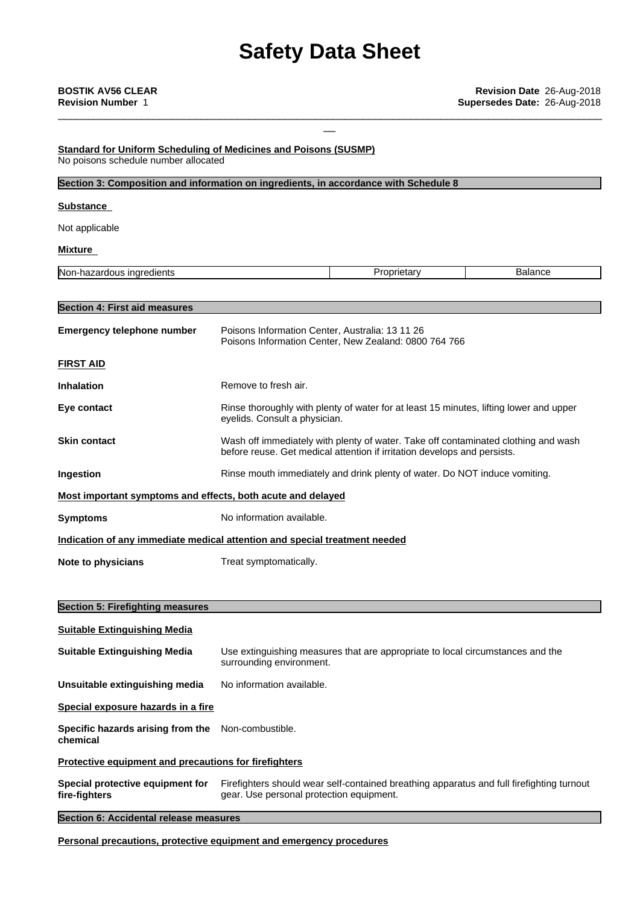\_\_\_\_\_\_\_\_\_\_\_\_\_\_\_\_\_\_\_\_\_\_\_\_\_\_\_\_\_\_\_\_\_\_\_\_\_\_\_\_\_\_\_\_\_\_\_\_\_\_\_\_\_\_\_\_\_\_\_\_\_\_\_\_\_\_\_\_\_\_\_\_\_\_\_\_\_\_\_\_\_\_\_\_\_\_\_\_\_\_\_

#### **Standard for Uniform Scheduling of Medicines and Poisons (SUSMP)** No poisons schedule number allocated

| Section 3: Composition and information on ingredients, in accordance with Schedule 8 |                                                                                                                                                                |                                                       |                |
|--------------------------------------------------------------------------------------|----------------------------------------------------------------------------------------------------------------------------------------------------------------|-------------------------------------------------------|----------------|
| <b>Substance</b>                                                                     |                                                                                                                                                                |                                                       |                |
| Not applicable                                                                       |                                                                                                                                                                |                                                       |                |
| Mixture                                                                              |                                                                                                                                                                |                                                       |                |
| Non-hazardous ingredients                                                            |                                                                                                                                                                | Proprietary                                           | <b>Balance</b> |
| <b>Section 4: First aid measures</b>                                                 |                                                                                                                                                                |                                                       |                |
| <b>Emergency telephone number</b>                                                    | Poisons Information Center, Australia: 13 11 26                                                                                                                | Poisons Information Center, New Zealand: 0800 764 766 |                |
| <b>FIRST AID</b>                                                                     |                                                                                                                                                                |                                                       |                |
| <b>Inhalation</b>                                                                    | Remove to fresh air.                                                                                                                                           |                                                       |                |
| Eye contact                                                                          | Rinse thoroughly with plenty of water for at least 15 minutes, lifting lower and upper<br>eyelids. Consult a physician.                                        |                                                       |                |
| <b>Skin contact</b>                                                                  | Wash off immediately with plenty of water. Take off contaminated clothing and wash<br>before reuse. Get medical attention if irritation develops and persists. |                                                       |                |
| Ingestion                                                                            | Rinse mouth immediately and drink plenty of water. Do NOT induce vomiting.                                                                                     |                                                       |                |
| Most important symptoms and effects, both acute and delayed                          |                                                                                                                                                                |                                                       |                |
| <b>Symptoms</b>                                                                      | No information available.                                                                                                                                      |                                                       |                |
| Indication of any immediate medical attention and special treatment needed           |                                                                                                                                                                |                                                       |                |
| Note to physicians                                                                   | Treat symptomatically.                                                                                                                                         |                                                       |                |

## **Section 5: Firefighting measures Suitable Extinguishing Media Suitable Extinguishing Media** Use extinguishing measures that are appropriate to local circumstances and the surrounding environment. **Unsuitable extinguishing media** No information available. **Special exposure hazards in a fire Specific hazards arising from the** Non-combustible. **chemical Protective equipment and precautions for firefighters Special protective equipment for fire-fighters** Firefighters should wear self-contained breathing apparatus and full firefighting turnout gear. Use personal protection equipment.

**Section 6: Accidental release measures**

**Personal precautions, protective equipment and emergency procedures**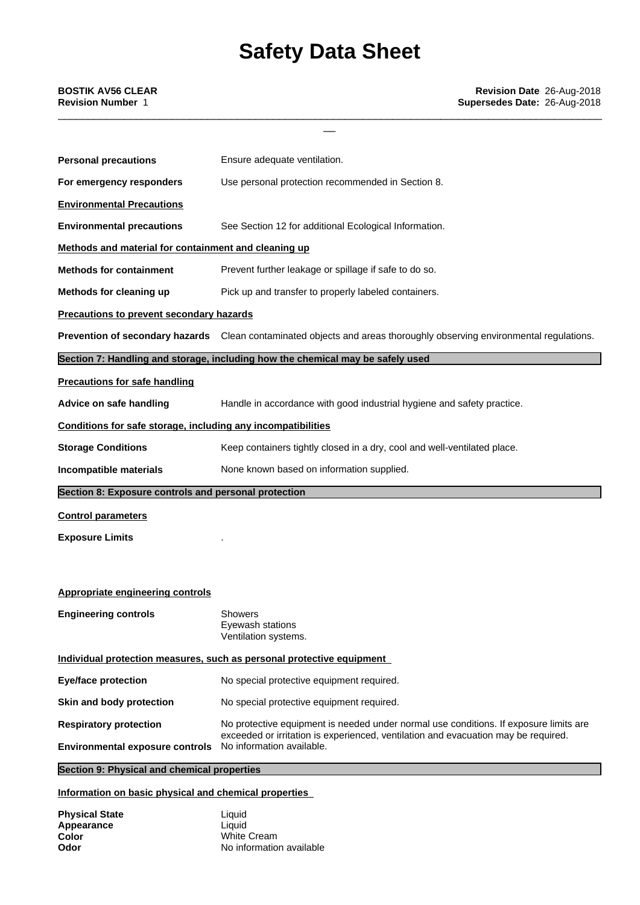\_\_\_\_\_\_\_\_\_\_\_\_\_\_\_\_\_\_\_\_\_\_\_\_\_\_\_\_\_\_\_\_\_\_\_\_\_\_\_\_\_\_\_\_\_\_\_\_\_\_\_\_\_\_\_\_\_\_\_\_\_\_\_\_\_\_\_\_\_\_\_\_\_\_\_\_\_\_\_\_\_\_\_\_\_\_\_\_\_\_\_

| <b>Personal precautions</b>                                  | Ensure adequate ventilation.                                                                                         |  |
|--------------------------------------------------------------|----------------------------------------------------------------------------------------------------------------------|--|
| For emergency responders                                     | Use personal protection recommended in Section 8.                                                                    |  |
| <b>Environmental Precautions</b>                             |                                                                                                                      |  |
| <b>Environmental precautions</b>                             | See Section 12 for additional Ecological Information.                                                                |  |
| Methods and material for containment and cleaning up         |                                                                                                                      |  |
| <b>Methods for containment</b>                               | Prevent further leakage or spillage if safe to do so.                                                                |  |
| Methods for cleaning up                                      | Pick up and transfer to properly labeled containers.                                                                 |  |
| <b>Precautions to prevent secondary hazards</b>              |                                                                                                                      |  |
|                                                              | Prevention of secondary hazards Clean contaminated objects and areas thoroughly observing environmental regulations. |  |
|                                                              | Section 7: Handling and storage, including how the chemical may be safely used                                       |  |
| <b>Precautions for safe handling</b>                         |                                                                                                                      |  |
| Advice on safe handling                                      | Handle in accordance with good industrial hygiene and safety practice.                                               |  |
| Conditions for safe storage, including any incompatibilities |                                                                                                                      |  |
| <b>Storage Conditions</b>                                    | Keep containers tightly closed in a dry, cool and well-ventilated place.                                             |  |
| Incompatible materials                                       | None known based on information supplied.                                                                            |  |
| Section 8: Exposure controls and personal protection         |                                                                                                                      |  |
| <b>Control parameters</b>                                    |                                                                                                                      |  |
| <b>Exposure Limits</b>                                       |                                                                                                                      |  |
|                                                              |                                                                                                                      |  |
| <b>Appropriate engineering controls</b>                      |                                                                                                                      |  |
| <b>Engineering controls</b>                                  | <b>Showers</b><br>Eyewash stations<br>Ventilation systems.                                                           |  |
|                                                              | Individual protection measures, such as personal protective equipment                                                |  |
| <b>Eye/face protection</b>                                   | No special protective equipment required.                                                                            |  |
| Skin and body protection                                     | No special protective equipment required.                                                                            |  |
| <b>Respiratory protection</b>                                | No protective equipment is needed under normal use conditions. If exposure limits are                                |  |
| <b>Environmental exposure controls</b>                       | exceeded or irritation is experienced, ventilation and evacuation may be required.<br>No information available.      |  |
| Section 9: Physical and chemical properties                  |                                                                                                                      |  |

### **Information on basic physical and chemical properties**

| <b>Physical State</b> | Liauid                   |
|-----------------------|--------------------------|
| Appearance            | Liauid                   |
| Color                 | White Cream              |
| Odor                  | No information available |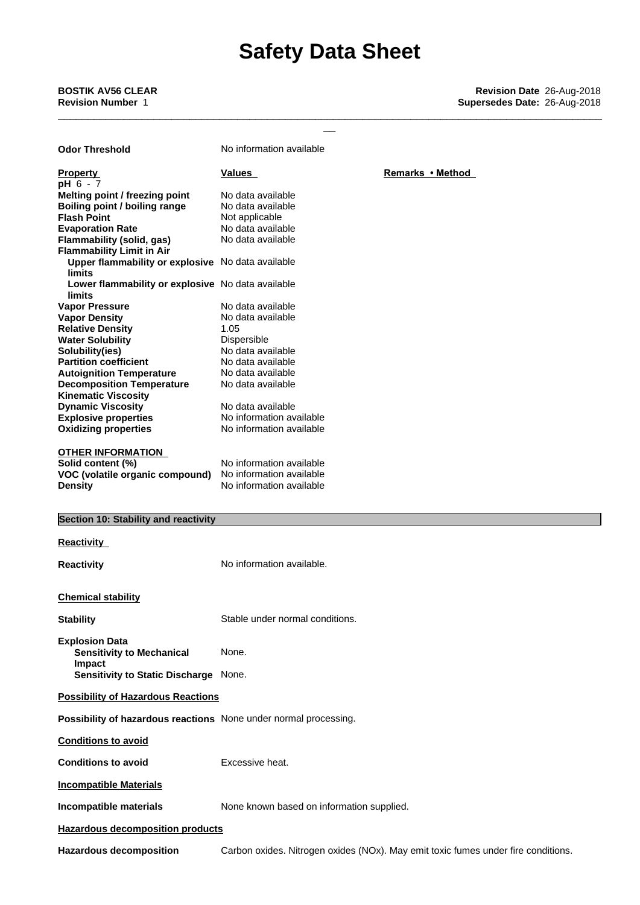\_\_\_\_\_\_\_\_\_\_\_\_\_\_\_\_\_\_\_\_\_\_\_\_\_\_\_\_\_\_\_\_\_\_\_\_\_\_\_\_\_\_\_\_\_\_\_\_\_\_\_\_\_\_\_\_\_\_\_\_\_\_\_\_\_\_\_\_\_\_\_\_\_\_\_\_\_\_\_\_\_\_\_\_\_\_\_\_\_\_\_

| <b>Odor Threshold</b>                                              | No information available                  |                  |
|--------------------------------------------------------------------|-------------------------------------------|------------------|
| <b>Property</b><br>pH 6 - 7                                        | <b>Values</b>                             | Remarks • Method |
| Melting point / freezing point                                     | No data available                         |                  |
| Boiling point / boiling range                                      | No data available                         |                  |
| <b>Flash Point</b>                                                 | Not applicable                            |                  |
| <b>Evaporation Rate</b>                                            | No data available                         |                  |
| <b>Flammability (solid, gas)</b>                                   | No data available                         |                  |
| <b>Flammability Limit in Air</b>                                   |                                           |                  |
| Upper flammability or explosive No data available<br>limits        |                                           |                  |
| Lower flammability or explosive No data available<br><b>limits</b> |                                           |                  |
| <b>Vapor Pressure</b>                                              | No data available                         |                  |
| <b>Vapor Density</b>                                               | No data available                         |                  |
| <b>Relative Density</b>                                            | 1.05                                      |                  |
| <b>Water Solubility</b>                                            | Dispersible                               |                  |
| Solubility(ies)                                                    | No data available                         |                  |
| <b>Partition coefficient</b>                                       | No data available                         |                  |
| <b>Autoignition Temperature</b>                                    | No data available                         |                  |
| <b>Decomposition Temperature</b>                                   | No data available                         |                  |
| <b>Kinematic Viscosity</b>                                         |                                           |                  |
| <b>Dynamic Viscosity</b>                                           | No data available                         |                  |
| <b>Explosive properties</b>                                        | No information available                  |                  |
| <b>Oxidizing properties</b>                                        | No information available                  |                  |
|                                                                    |                                           |                  |
| <b>OTHER INFORMATION</b>                                           |                                           |                  |
| Solid content (%)                                                  | No information available                  |                  |
| VOC (volatile organic compound)                                    | No information available                  |                  |
| <b>Density</b>                                                     | No information available                  |                  |
|                                                                    |                                           |                  |
|                                                                    |                                           |                  |
|                                                                    |                                           |                  |
| Section 10: Stability and reactivity                               |                                           |                  |
| <b>Reactivity</b>                                                  |                                           |                  |
| <b>Reactivity</b>                                                  | No information available.                 |                  |
| <b>Chemical stability</b>                                          |                                           |                  |
|                                                                    |                                           |                  |
| <b>Stability</b>                                                   | Stable under normal conditions            |                  |
| <b>Explosion Data</b><br><b>Sensitivity to Mechanical</b>          | None.                                     |                  |
| Impact<br>Sensitivity to Static Discharge None.                    |                                           |                  |
| <b>Possibility of Hazardous Reactions</b>                          |                                           |                  |
| Possibility of hazardous reactions None under normal processing.   |                                           |                  |
| <b>Conditions to avoid</b>                                         |                                           |                  |
| <b>Conditions to avoid</b>                                         | Excessive heat.                           |                  |
| <b>Incompatible Materials</b>                                      |                                           |                  |
| Incompatible materials                                             | None known based on information supplied. |                  |

**Hazardous decomposition** Carbon oxides. Nitrogen oxides (NOx). May emit toxic fumes under fire conditions.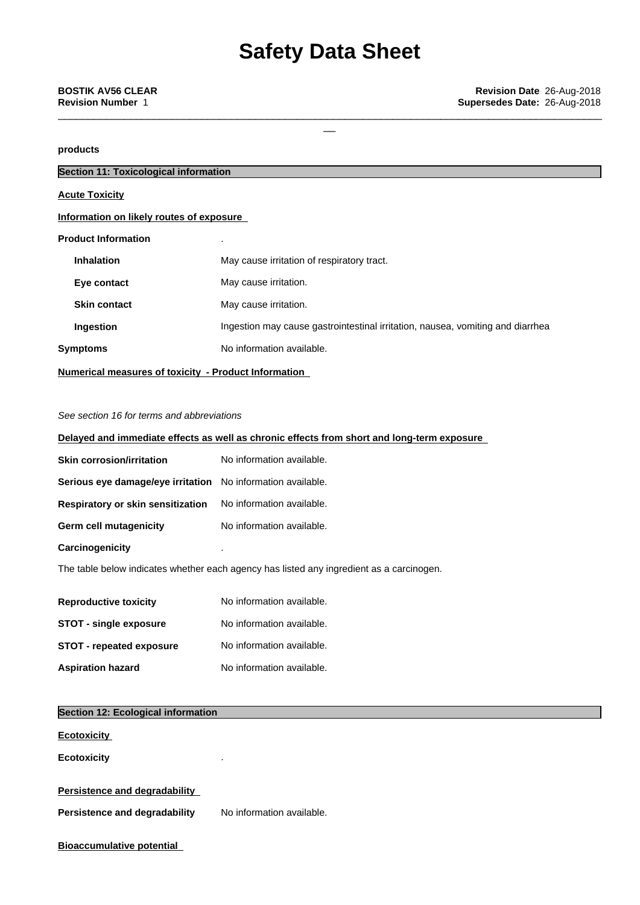\_\_\_\_\_\_\_\_\_\_\_\_\_\_\_\_\_\_\_\_\_\_\_\_\_\_\_\_\_\_\_\_\_\_\_\_\_\_\_\_\_\_\_\_\_\_\_\_\_\_\_\_\_\_\_\_\_\_\_\_\_\_\_\_\_\_\_\_\_\_\_\_\_\_\_\_\_\_\_\_\_\_\_\_\_\_\_\_\_\_\_

### **products**

| <b>Section 11: Toxicological information</b>         |                                                                                |
|------------------------------------------------------|--------------------------------------------------------------------------------|
| <b>Acute Toxicity</b>                                |                                                                                |
| Information on likely routes of exposure             |                                                                                |
| <b>Product Information</b>                           |                                                                                |
| <b>Inhalation</b>                                    | May cause irritation of respiratory tract.                                     |
| Eye contact                                          | May cause irritation.                                                          |
| <b>Skin contact</b>                                  | May cause irritation.                                                          |
| Ingestion                                            | Ingestion may cause gastrointestinal irritation, nausea, vomiting and diarrhea |
| <b>Symptoms</b>                                      | No information available.                                                      |
| Numerical measures of toxicity - Product Information |                                                                                |

#### *See section 16 for terms and abbreviations*

## **Delayed and immediate effects as well as chronic effects from short and long-term exposure**

| <b>Skin corrosion/irritation</b>                                   | No information available. |
|--------------------------------------------------------------------|---------------------------|
| <b>Serious eye damage/eye irritation</b> No information available. |                           |
| <b>Respiratory or skin sensitization</b>                           | No information available. |
| Germ cell mutagenicity                                             | No information available. |
| Carcinogenicity                                                    |                           |
|                                                                    |                           |

The table below indicates whether each agency has listed any ingredient as a carcinogen.

| <b>Reproductive toxicity</b>    | No information available. |
|---------------------------------|---------------------------|
| <b>STOT - single exposure</b>   | No information available. |
| <b>STOT - repeated exposure</b> | No information available. |
| <b>Aspiration hazard</b>        | No information available. |

| Section 12: Ecological information   |                           |  |
|--------------------------------------|---------------------------|--|
| <b>Ecotoxicity</b>                   |                           |  |
| <b>Ecotoxicity</b>                   | ٠                         |  |
| <b>Persistence and degradability</b> |                           |  |
| Persistence and degradability        | No information available. |  |
| <b>Bioaccumulative potential</b>     |                           |  |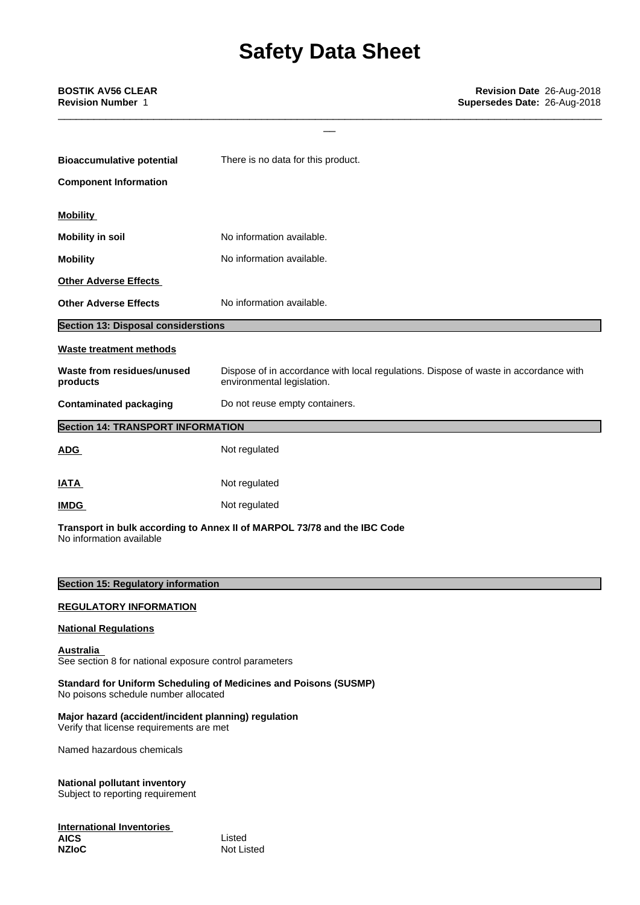\_\_\_\_\_\_\_\_\_\_\_\_\_\_\_\_\_\_\_\_\_\_\_\_\_\_\_\_\_\_\_\_\_\_\_\_\_\_\_\_\_\_\_\_\_\_\_\_\_\_\_\_\_\_\_\_\_\_\_\_\_\_\_\_\_\_\_\_\_\_\_\_\_\_\_\_\_\_\_\_\_\_\_\_\_\_\_\_\_\_\_

| <b>IATA</b>                                | Not regulated                                                                                                      |
|--------------------------------------------|--------------------------------------------------------------------------------------------------------------------|
| <b>ADG</b>                                 | Not regulated                                                                                                      |
| <b>Section 14: TRANSPORT INFORMATION</b>   |                                                                                                                    |
| <b>Contaminated packaging</b>              | Do not reuse empty containers.                                                                                     |
| Waste from residues/unused<br>products     | Dispose of in accordance with local regulations. Dispose of waste in accordance with<br>environmental legislation. |
| <b>Waste treatment methods</b>             |                                                                                                                    |
| <b>Section 13: Disposal considerstions</b> |                                                                                                                    |
| <b>Other Adverse Effects</b>               | No information available.                                                                                          |
| <b>Other Adverse Effects</b>               |                                                                                                                    |
| <b>Mobility</b>                            | No information available.                                                                                          |
| <b>Mobility in soil</b>                    | No information available.                                                                                          |
| <b>Mobility</b>                            |                                                                                                                    |
| <b>Component Information</b>               |                                                                                                                    |
| <b>Bioaccumulative potential</b>           | There is no data for this product.                                                                                 |
|                                            |                                                                                                                    |

**Transport in bulk according to Annex II ofMARPOL 73/78 and the IBC Code** No information available

### **Section 15: Regulatory information**

#### **REGULATORY INFORMATION**

#### **National Regulations**

**Australia** See section 8 for national exposure control parameters

**Standard for Uniform Scheduling of Medicines and Poisons (SUSMP)** No poisons schedule number allocated

#### **Major hazard (accident/incident planning) regulation** Verify that license requirements are met

Named hazardous chemicals

### **National pollutant inventory**

Subject to reporting requirement

#### **International Inventories AICS** Listed

**NZIoC** Not Listed